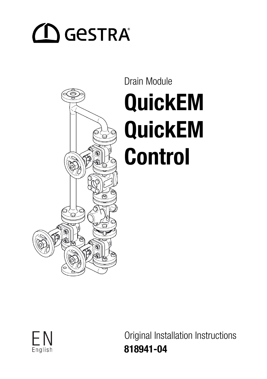# $\bigcirc$  Gestra



# Drain Module QuickEM QuickEM Control



Original Installation Instructions 818941-04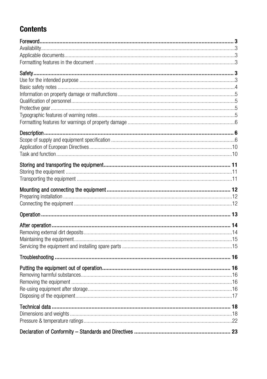## **Contents**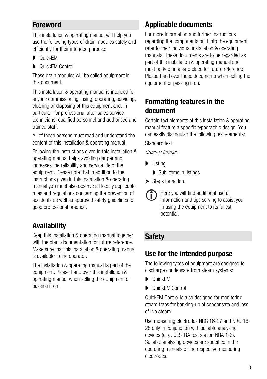## <span id="page-2-0"></span>Foreword

This installation & operating manual will help you use the following types of drain modules safely and efficiently for their intended purpose:

- **D** QuickEM
- **D** QuickEM Control

These drain modules will be called equipment in this document.

This installation & operating manual is intended for anyone commissioning, using, operating, servicing, cleaning or disposing of this equipment and, in particular, for professional after-sales service technicians, qualified personnel and authorised and trained staff.

All of these persons must read and understand the content of this installation & operating manual.

Following the instructions given in this installation & operating manual helps avoiding danger and increases the reliability and service life of the equipment. Please note that in addition to the instructions given in this installation & operating manual you must also observe all locally applicable rules and regulations concerning the prevention of accidents as well as approved safety guidelines for good professional practice.

## <span id="page-2-1"></span>Availability

Keep this installation & operating manual together with the plant documentation for future reference. Make sure that this installation & operating manual is available to the operator.

The installation & operating manual is part of the equipment. Please hand over this installation & operating manual when selling the equipment or passing it on.

## <span id="page-2-2"></span>Applicable documents

For more information and further instructions regarding the components built into the equipment refer to their individual installation & operating manuals. These documents are to be regarded as part of this installation & operating manual and must be kept in a safe place for future reference. Please hand over these documents when selling the equipment or passing it on.

#### <span id="page-2-3"></span>Formatting features in the document

Certain text elements of this installation & operating manual feature a specific typographic design. You can easily distinguish the following text elements:

Standard text

Cross-reference

- **D** Listing
	- Sub-items in listings
- $\triangleright$  Steps for action.
	- Here you will find additional useful G) information and tips serving to assist you in using the equipment to its fullest potential.

## <span id="page-2-4"></span>**Safety**

#### <span id="page-2-5"></span>Use for the intended purpose

The following types of equipment are designed to discharge condensate from steam systems:

- **D** QuickEM
- **D** QuickEM Control

QuickEM Control is also designed for monitoring steam traps for banking-up of condensate and loss of live steam.

Use measuring electrodes NRG 16-27 and NRG 16- 28 only in conjunction with suitable analysing devices (e. g. GESTRA test station NRA 1-3). Suitable analysing devices are specified in the operating manuals of the respective measuring electrodes.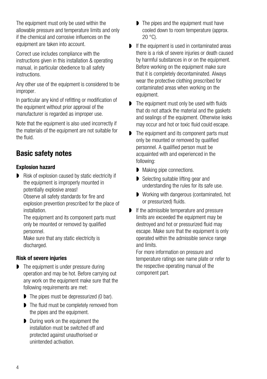The equipment must only be used within the allowable pressure and temperature limits and only if the chemical and corrosive influences on the equipment are taken into account.

Correct use includes compliance with the instructions given in this installation & operating manual, in particular obedience to all safety instructions.

Any other use of the equipment is considered to be improper.

In particular any kind of refitting or modification of the equipment without prior approval of the manufacturer is regarded as improper use.

Note that the equipment is also used incorrectly if the materials of the equipment are not suitable for the fluid.

## <span id="page-3-0"></span>Basic safety notes

#### Explosion hazard

Risk of explosion caused by static electricity if the equipment is improperly mounted in potentially explosive areas!

Observe all safety standards for fire and explosion prevention prescribed for the place of **installation** 

The equipment and its component parts must only be mounted or removed by qualified personnel.

Make sure that any static electricity is discharged.

#### Risk of severe injuries

- The equipment is under pressure during operation and may be hot. Before carrying out any work on the equipment make sure that the following requirements are met:
	- The pipes must be depressurized (0 bar).
	- ▶ The fluid must be completely removed from the pipes and the equipment.
	- During work on the equipment the installation must be switched off and protected against unauthorised or unintended activation.
- The pipes and the equipment must have cooled down to room temperature (approx.  $20°C$ ).
- If the equipment is used in contaminated areas there is a risk of severe injuries or death caused by harmful substances in or on the equipment. Before working on the equipment make sure that it is completely decontaminated. Always wear the protective clothing prescribed for contaminated areas when working on the equipment.
- The equipment must only be used with fluids that do not attack the material and the gaskets and sealings of the equipment. Otherwise leaks may occur and hot or toxic fluid could escape.
- The equipment and its component parts must only be mounted or removed by qualified personnel. A qualified person must be acquainted with and experienced in the following:
	- **Making pipe connections.**
	- Selecting suitable lifting gear and understanding the rules for its safe use.
	- Working with dangerous (contaminated, hot or pressurized) fluids.
- If the admissible temperature and pressure limits are exceeded the equipment may be destroyed and hot or pressurized fluid may escape. Make sure that the equipment is only operated within the admissible service range and limits.

For more information on pressure and temperature ratings see name plate or refer to the respective operating manual of the component part.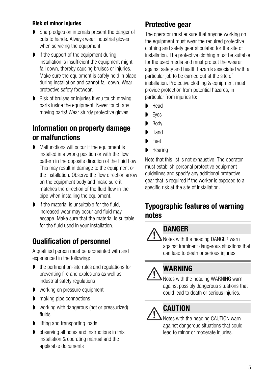#### Risk of minor injuries

- **B** Sharp edges on internals present the danger of cuts to hands. Always wear industrial gloves when servicing the equipment.
- If the support of the equipment during installation is insufficient the equipment might fall down, thereby causing bruises or injuries. Make sure the equipment is safely held in place during installation and cannot fall down. Wear protective safety footwear.
- Risk of bruises or injuries if you touch moving parts inside the equipment. Never touch any moving parts! Wear sturdy protective gloves.

#### <span id="page-4-0"></span>Information on property damage or malfunctions

- Malfunctions will occur if the equipment is installed in a wrong position or with the flow pattern in the opposite direction of the fluid flow. This may result in damage to the equipment or the installation. Observe the flow direction arrow on the equipment body and make sure it matches the direction of the fluid flow in the pipe when installing the equipment.
- $\blacksquare$  If the material is unsuitable for the fluid increased wear may occur and fluid may escape. Make sure that the material is suitable for the fluid used in your installation.

## <span id="page-4-1"></span>Qualification of personnel

A qualified person must be acquainted with and experienced in the following:

- **■** the pertinent on-site rules and regulations for preventing fire and explosions as well as industrial safety regulations
- working on pressure equipment
- $\blacksquare$  making pipe connections
- **D** working with dangerous (hot or pressurized) fluids
- lifting and transporting loads
- **D** observing all notes and instructions in this installation & operating manual and the applicable documents

### <span id="page-4-2"></span>Protective gear

The operator must ensure that anyone working on the equipment must wear the required protective clothing and safety gear stipulated for the site of installation. The protective clothing must be suitable for the used media and must protect the wearer against safety and health hazards associated with a particular job to be carried out at the site of installation. Protective clothing & equipment must provide protection from potential hazards, in particular from injuries to:

- Head
- Eyes
- Body
- Hand
- **Feet**
- $Hearin<sub>0</sub>$

Note that this list is not exhaustive. The operator must establish personal protective equipment guidelines and specify any additional protective gear that is required if the worker is exposed to a specific risk at the site of installation.

#### <span id="page-4-3"></span>Typographic features of warning notes

## DANGER

Notes with the heading DANGER warn against imminent dangerous situations that can lead to death or serious injuries.

## WARNING



Notes with the heading WARNING warn against possibly dangerous situations that could lead to death or serious injuries.

## **CAUTION**

Notes with the heading CAUTION warn against dangerous situations that could lead to minor or moderate injuries.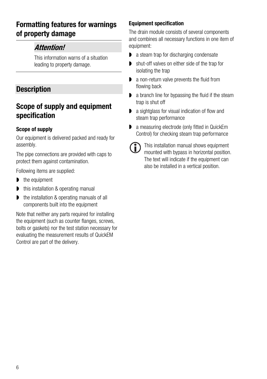### <span id="page-5-0"></span>Formatting features for warnings of property damage

#### **Attention!**

This information warns of a situation leading to property damage.

#### <span id="page-5-1"></span>**Description**

#### <span id="page-5-2"></span>Scope of supply and equipment specification

#### Scope of supply

Our equipment is delivered packed and ready for assembly.

The pipe connections are provided with caps to protect them against contamination.

Following items are supplied:

- $\blacktriangleright$  the equipment
- this installation & operating manual
- the installation & operating manuals of all components built into the equipment

Note that neither any parts required for installing the equipment (such as counter flanges, screws, bolts or gaskets) nor the test station necessary for evaluating the measurement results of QuickEM Control are part of the delivery.

#### Equipment specification

The drain module consists of several components and combines all necessary functions in one item of equipment:

- a steam trap for discharging condensate
- shut-off valves on either side of the trap for isolating the trap
- a non-return valve prevents the fluid from flowing back
- **a** branch line for bypassing the fluid if the steam trap is shut off
- a sightglass for visual indication of flow and steam trap performance
- a measuring electrode (only fitted in QuickEm Control) for checking steam trap performance



This installation manual shows equipment mounted with bypass in horizontal position. The text will indicate if the equipment can also be installed in a vertical position.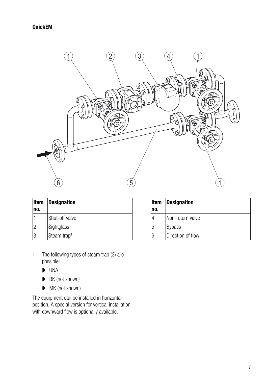

| <b>Item</b>   | <b>Designation</b>      |
|---------------|-------------------------|
| no.           |                         |
|               | Shut-off valve          |
| $\mathcal{P}$ | Sightglass              |
| 3             | Steam trap <sup>1</sup> |

- 1 The following types of steam trap (3) are possible:
	- UNA
	- BK (not shown)
	- **MK** (not shown)

The equipment can be installed in horizontal position. A special version for vertical installation with downward flow is optionally available.

| <b>Item</b><br>no. | <b>Designation</b> |
|--------------------|--------------------|
|                    | Non-return valve   |
| 5                  | Bypass             |
| 6                  | Direction of flow  |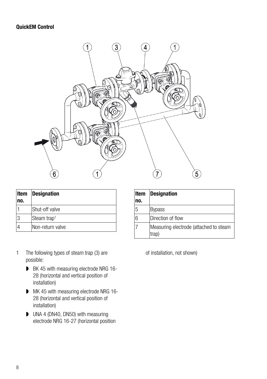#### QuickEM Control



| Item<br>no. | <b>Designation</b>      |
|-------------|-------------------------|
|             | Shut-off valve          |
| 3           | Steam trap <sup>1</sup> |
|             | Non-return valve        |

| Item | <b>Designation</b>                              |
|------|-------------------------------------------------|
| no.  |                                                 |
| 5    | <b>Bypass</b>                                   |
| 6    | Direction of flow                               |
|      | Measuring electrode (attached to steam<br>trap) |

- 1 The following types of steam trap (3) are possible:
	- BK 45 with measuring electrode NRG 16-28 (horizontal and vertical position of installation)
	- **MK 45 with measuring electrode NRG 16-**28 (horizontal and vertical position of installation)
	- **UNA 4 (DN40, DN50) with measuring** electrode NRG 16-27 (horizontal position

of installation, not shown)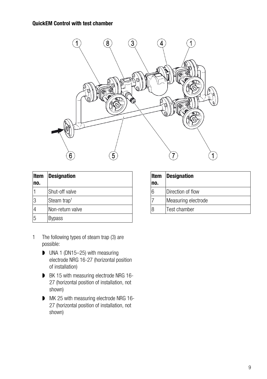

| Item<br>no. | <b>Designation</b>      |
|-------------|-------------------------|
|             | Shut-off valve          |
| 3           | Steam trap <sup>1</sup> |
|             | Non-return valve        |
| 5           | <b>Bypass</b>           |

- 1 The following types of steam trap (3) are possible:
	- UNA 1 (DN15–25) with measuring electrode NRG 16-27 (horizontal position of installation)
	- BK 15 with measuring electrode NRG 16-27 (horizontal position of installation, not shown)
	- MK 25 with measuring electrode NRG 16-27 (horizontal position of installation, not shown)

| ltem | <b>Designation</b>  |  |  |
|------|---------------------|--|--|
| no.  |                     |  |  |
| 6    | Direction of flow   |  |  |
|      | Measuring electrode |  |  |
| 8    | Test chamber        |  |  |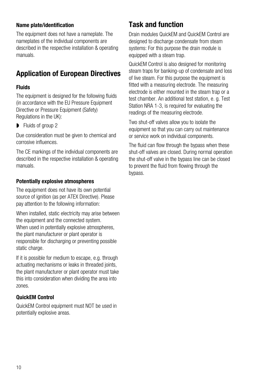#### Name plate/identification

The equipment does not have a nameplate. The nameplates of the individual components are described in the respective installation & operating manuals.

## <span id="page-9-0"></span>Application of European Directives

#### Fluids

The equipment is designed for the following fluids (in accordance with the EU Pressure Equipment Directive or Pressure Equipment (Safety) Regulations in the UK):

 $\blacksquare$  Fluids of group 2

Due consideration must be given to chemical and corrosive influences.

The CE markings of the individual components are described in the respective installation & operating manuals.

#### Potentially explosive atmospheres

The equipment does not have its own potential source of ignition (as per ATEX Directive). Please pay attention to the following information:

When installed, static electricity may arise between the equipment and the connected system. When used in potentially explosive atmospheres. the plant manufacturer or plant operator is responsible for discharging or preventing possible static charge.

If it is possible for medium to escape, e.g. through actuating mechanisms or leaks in threaded joints, the plant manufacturer or plant operator must take this into consideration when dividing the area into zones.

#### QuickEM Control

QuickEM Control equipment must NOT be used in potentially explosive areas.

#### <span id="page-9-1"></span>Task and function

Drain modules QuickEM and QuickEM Control are designed to discharge condensate from steam systems: For this purpose the drain module is equipped with a steam trap.

QuickEM Control is also designed for monitoring steam traps for banking-up of condensate and loss of live steam. For this purpose the equipment is fitted with a measuring electrode. The measuring electrode is either mounted in the steam trap or a test chamber. An additional test station, e. g. Test Station NRA 1-3, is required for evaluating the readings of the measuring electrode.

Two shut-off valves allow you to isolate the equipment so that you can carry out maintenance or service work on individual components.

The fluid can flow through the bypass when these shut-off valves are closed. During normal operation the shut-off valve in the bypass line can be closed to prevent the fluid from flowing through the bypass.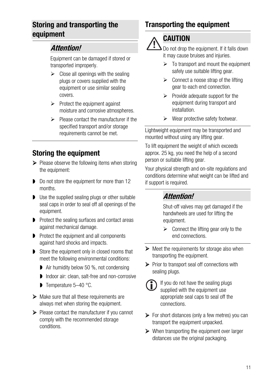#### <span id="page-10-0"></span>Storing and transporting the equipment

#### Attention!

Equipment can be damaged if stored or transported improperly.

- $\triangleright$  Close all openings with the sealing plugs or covers supplied with the equipment or use similar sealing covers.
- $\triangleright$  Protect the equipment against moisture and corrosive atmospheres.
- $\triangleright$  Please contact the manufacturer if the specified transport and/or storage requirements cannot be met.

## <span id="page-10-1"></span>Storing the equipment

- $\triangleright$  Please observe the following items when storing the equipment:
- Do not store the equipment for more than 12 months.
- Use the supplied sealing plugs or other suitable seal caps in order to seal off all openings of the equipment.
- **P** Protect the sealing surfaces and contact areas against mechanical damage.
- **P** Protect the equipment and all components against hard shocks and impacts.
- Store the equipment only in closed rooms that meet the following environmental conditions:
	- Air humidity below 50 %, not condensing
	- Indoor air: clean, salt-free and non-corrosive
	- Temperature 5-40 °C.
- $\triangleright$  Make sure that all these requirements are always met when storing the equipment.
- $\triangleright$  Please contact the manufacturer if you cannot comply with the recommended storage conditions.

## <span id="page-10-2"></span>Transporting the equipment

# **CAUTION**

Do not drop the equipment. If it falls down it may cause bruises and injuries.

- $\triangleright$  To transport and mount the equipment safely use suitable lifting gear.
- $\triangleright$  Connect a noose strap of the lifting gear to each end connection.
- $\triangleright$  Provide adequate support for the equipment during transport and installation.
- $\triangleright$  Wear protective safety footwear.

 Lightweight equipment may be transported and mounted without using any lifting gear.

To lift equipment the weight of which exceeds approx. 25 kg, you need the help of a second person or suitable lifting gear.

Your physical strength and on-site regulations and conditions determine what weight can be lifted and if support is required.

#### Attention!

Shut-off valves may get damaged if the handwheels are used for lifting the equipment.

- $\triangleright$  Connect the lifting gear only to the end connections.
- $\triangleright$  Meet the requirements for storage also when transporting the equipment.
- $\triangleright$  Prior to transport seal off connections with sealing plugs.
	- If you do not have the sealing plugs supplied with the equipment use appropriate seal caps to seal off the connections.
- $\triangleright$  For short distances (only a few metres) you can transport the equipment unpacked.
- $\triangleright$  When transporting the equipment over larger distances use the original packaging.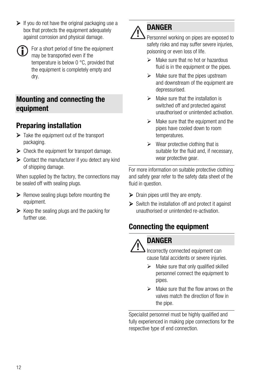$\triangleright$  If you do not have the original packaging use a box that protects the equipment adequately against corrosion and physical damage.

For a short period of time the equipment may be transported even if the temperature is below 0 °C, provided that the equipment is completely empty and dry.

#### <span id="page-11-0"></span>Mounting and connecting the equipment

### <span id="page-11-1"></span>Preparing installation

- $\triangleright$  Take the equipment out of the transport packaging.
- $\triangleright$  Check the equipment for transport damage.
- $\triangleright$  Contact the manufacturer if you detect any kind of shipping damage.

When supplied by the factory, the connections may be sealed off with sealing plugs.

- $\triangleright$  Remove sealing plugs before mounting the equipment.
- $\triangleright$  Keep the sealing plugs and the packing for further use.

# DANGER

Personnel working on pipes are exposed to safety risks and may suffer severe injuries, poisoning or even loss of life.

- $\triangleright$  Make sure that no hot or hazardous fluid is in the equipment or the pipes.
- $\triangleright$  Make sure that the pipes upstream and downstream of the equipment are depressurised.
- $\triangleright$  Make sure that the installation is switched off and protected against unauthorised or unintended activation.
- $\triangleright$  Make sure that the equipment and the pipes have cooled down to room temperatures.
- $\triangleright$  Wear protective clothing that is suitable for the fluid and, if necessary, wear protective gear.

 For more information on suitable protective clothing and safety gear refer to the safety data sheet of the fluid in question.

- $\triangleright$  Drain pipes until they are empty.
- $\triangleright$  Switch the installation off and protect it against unauthorised or unintended re-activation.

## <span id="page-11-2"></span>Connecting the equipment

#### **DANGER**

Incorrectly connected equipment can cause fatal accidents or severe injuries.

- $\triangleright$  Make sure that only qualified skilled personnel connect the equipment to pipes.
- $\triangleright$  Make sure that the flow arrows on the valves match the direction of flow in the pipe.

 Specialist personnel must be highly qualified and fully experienced in making pipe connections for the respective type of end connection.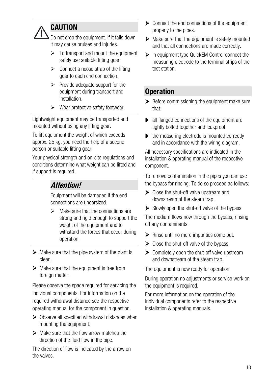## **CAUTION**

Do not drop the equipment. If it falls down it may cause bruises and injuries.

- $\triangleright$  To transport and mount the equipment safely use suitable lifting gear.
- $\triangleright$  Connect a noose strap of the lifting gear to each end connection.
- $\triangleright$  Provide adequate support for the equipment during transport and installation.
- $\triangleright$  Wear protective safety footwear.

Lightweight equipment may be transported and mounted without using any lifting gear.

To lift equipment the weight of which exceeds approx. 25 kg, you need the help of a second person or suitable lifting gear.

Your physical strength and on-site regulations and conditions determine what weight can be lifted and if support is required.

## Attention!

Equipment will be damaged if the end connections are undersized.

- $\triangleright$  Make sure that the connections are strong and rigid enough to support the weight of the equipment and to withstand the forces that occur during operation.
- $\triangleright$  Make sure that the pipe system of the plant is clean.
- $\triangleright$  Make sure that the equipment is free from foreign matter.

Please observe the space required for servicing the individual components. For information on the required withdrawal distance see the respective operating manual for the component in question.

- $\triangleright$  Observe all specified withdrawal distances when mounting the equipment.
- $\triangleright$  Make sure that the flow arrow matches the direction of the fluid flow in the pipe.

The direction of flow is indicated by the arrow on the valves.

- $\triangleright$  Connect the end connections of the equipment properly to the pipes.
- $\triangleright$  Make sure that the equipment is safely mounted and that all connections are made correctly.
- ▶ In equipment type QuickEM Control connect the measuring electrode to the terminal strips of the test station

#### <span id="page-12-0"></span>**Operation**

- $\triangleright$  Before commissioning the equipment make sure that:
- **D** all flanged connections of the equipment are tightly bolted together and leakproof.
- **■** the measuring electrode is mounted correctly and in accordance with the wiring diagram.

All necessary specifications are indicated in the installation & operating manual of the respective component.

To remove contamination in the pipes you can use the bypass for rinsing. To do so proceed as follows:

- $\triangleright$  Close the shut-off valve upstream and downstream of the steam trap.
- $\triangleright$  Slowly open the shut-off valve of the bypass.

The medium flows now through the bypass, rinsing off any contaminants.

- $\triangleright$  Rinse until no more impurities come out.
- $\triangleright$  Close the shut-off valve of the bypass.
- $\triangleright$  Completely open the shut-off valve upstream and downstream of the steam trap.

The equipment is now ready for operation.

During operation no adjustments or service work on the equipment is required.

For more information on the operation of the individual components refer to the respective installation & operating manuals.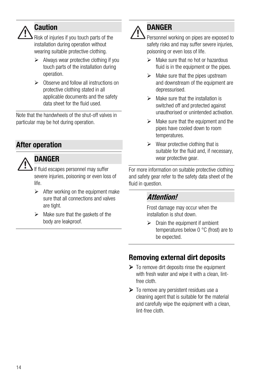## **Caution**

Risk of injuries if you touch parts of the installation during operation without wearing suitable protective clothing.

- $\triangleright$  Always wear protective clothing if you touch parts of the installation during operation.
- Observe and follow all instructions on protective clothing stated in all applicable documents and the safety data sheet for the fluid used.

Note that the handwheels of the shut-off valves in particular may be hot during operation.

## <span id="page-13-0"></span>After operation

### DANGER

If fluid escapes personnel may suffer severe injuries, poisoning or even loss of life.

- $\triangleright$  After working on the equipment make sure that all connections and valves are tight.
- $\triangleright$  Make sure that the gaskets of the body are leakproof.

## DANGER

Personnel working on pipes are exposed to safety risks and may suffer severe injuries. poisoning or even loss of life.

- $\triangleright$  Make sure that no hot or hazardous fluid is in the equipment or the pipes.
- $\triangleright$  Make sure that the pipes upstream and downstream of the equipment are depressurised.
- $\triangleright$  Make sure that the installation is switched off and protected against unauthorised or unintended activation.
- $\triangleright$  Make sure that the equipment and the pipes have cooled down to room temperatures.
- $\triangleright$  Wear protective clothing that is suitable for the fluid and, if necessary, wear protective gear.

 For more information on suitable protective clothing and safety gear refer to the safety data sheet of the fluid in question.

#### Attention!

Frost damage may occur when the installation is shut down.

 $\triangleright$  Drain the equipment if ambient temperatures below 0 °C (frost) are to be expected.

## <span id="page-13-1"></span>Removing external dirt deposits

- $\triangleright$  To remove dirt deposits rinse the equipment with fresh water and wipe it with a clean, lintfree cloth.
- To remove any persistent residues use a cleaning agent that is suitable for the material and carefully wipe the equipment with a clean, lint-free cloth.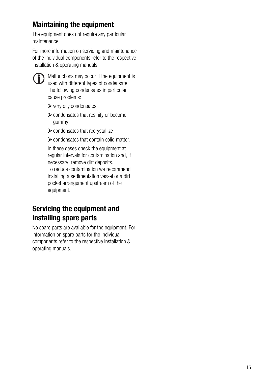## <span id="page-14-0"></span>Maintaining the equipment

The equipment does not require any particular maintenance.

For more information on servicing and maintenance of the individual components refer to the respective installation & operating manuals.



**CD** Malfunctions may occur if the equipment is used with different types of condensate: The following condensates in particular cause problems:

- very oily condensates
- $\triangleright$  condensates that resinify or become gummy
- condensates that recrystallize
- condensates that contain solid matter.

In these cases check the equipment at regular intervals for contamination and, if necessary, remove dirt deposits. To reduce contamination we recommend installing a sedimentation vessel or a dirt pocket arrangement upstream of the equipment.

#### <span id="page-14-1"></span>Servicing the equipment and installing spare parts

No spare parts are available for the equipment. For information on spare parts for the individual components refer to the respective installation & operating manuals.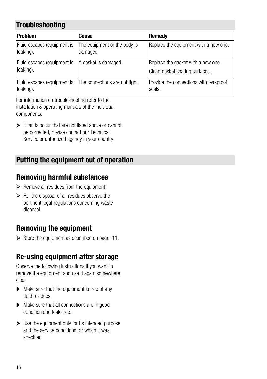## <span id="page-15-0"></span>**Troubleshooting**

| <b>Problem</b>                           | Cause                                    | Remedy                                                               |
|------------------------------------------|------------------------------------------|----------------------------------------------------------------------|
| Fluid escapes (equipment is<br>leaking). | The equipment or the body is<br>damaged. | Replace the equipment with a new one.                                |
| Fluid escapes (equipment is<br>leaking). | A gasket is damaged.                     | Replace the gasket with a new one.<br>Clean gasket seating surfaces. |
| Fluid escapes (equipment is<br>leaking). | The connections are not tight.           | Provide the connections with leakproof<br>seals.                     |

For information on troubleshooting refer to the installation & operating manuals of the individual components.

 If faults occur that are not listed above or cannot be corrected, please contact our Technical Service or authorized agency in your country.

#### <span id="page-15-1"></span>Putting the equipment out of operation

#### <span id="page-15-2"></span>Removing harmful substances

 $\triangleright$  Remove all residues from the equipment.

 $\triangleright$  For the disposal of all residues observe the pertinent legal regulations concerning waste disposal.

## <span id="page-15-3"></span>Removing the equipment

 $\triangleright$  Store the equipment as described on page [11.](#page-10-1)

## <span id="page-15-4"></span>Re-using equipment after storage

Observe the following instructions if you want to remove the equipment and use it again somewhere else:

- Make sure that the equipment is free of any fluid residues.
- Make sure that all connections are in good condition and leak-free.
- $\triangleright$  Use the equipment only for its intended purpose and the service conditions for which it was specified.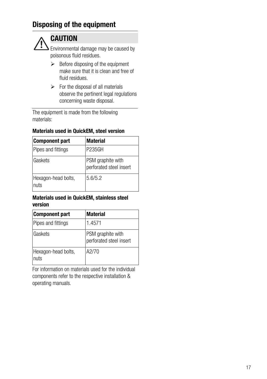#### <span id="page-16-0"></span>Disposing of the equipment



## **CAUTION**

Environmental damage may be caused by poisonous fluid residues.

- $\triangleright$  Before disposing of the equipment make sure that it is clean and free of fluid residues.
- $\triangleright$  For the disposal of all materials observe the pertinent legal regulations concerning waste disposal.

The equipment is made from the following materials:

#### Materials used in QuickEM, steel version

| <b>Component part</b>       | <b>Material</b>                              |
|-----------------------------|----------------------------------------------|
| Pipes and fittings          | <b>P235GH</b>                                |
| Gaskets                     | PSM graphite with<br>perforated steel insert |
| Hexagon-head bolts,<br>nuts | 5.6/5.2                                      |

#### Materials used in QuickEM, stainless steel version

| Component part              | <b>Material</b>                              |
|-----------------------------|----------------------------------------------|
| Pipes and fittings          | 1.4571                                       |
| Gaskets                     | PSM graphite with<br>perforated steel insert |
| Hexagon-head bolts,<br>nuts | A2/70                                        |

For information on materials used for the individual components refer to the respective installation & operating manuals.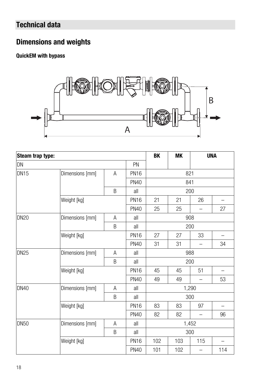## <span id="page-17-0"></span>Technical data

## <span id="page-17-1"></span>Dimensions and weights

#### QuickEM with bypass



| Steam trap type: |                           |    |             | BK    | <b>MK</b> |                          | <b>UNA</b> |
|------------------|---------------------------|----|-------------|-------|-----------|--------------------------|------------|
| DN               |                           | PN |             |       |           |                          |            |
| <b>DN15</b>      | Dimensions [mm]<br>A      |    | <b>PN16</b> | 821   |           |                          |            |
|                  |                           |    | <b>PN40</b> | 841   |           |                          |            |
|                  |                           | B  | all         | 200   |           |                          |            |
|                  | Weight [kg]               |    | <b>PN16</b> | 21    | 21        | 26                       |            |
|                  |                           |    | <b>PN40</b> | 25    | 25        | -                        | 27         |
| <b>DN20</b>      | Dimensions [mm]           | A  | all         | 908   |           |                          |            |
|                  |                           | B  | all         | 200   |           |                          |            |
|                  | Weight [kg]               |    | <b>PN16</b> | 27    | 27        | 33                       |            |
|                  |                           |    | <b>PN40</b> | 31    | 31        | $\overline{\phantom{0}}$ | 34         |
| <b>DN25</b>      | Dimensions [mm]<br>A      |    | all         | 988   |           |                          |            |
|                  |                           | B  | all         | 200   |           |                          |            |
|                  | Weight [kg]               |    | <b>PN16</b> | 45    | 45        | 51                       |            |
|                  |                           |    | <b>PN40</b> | 49    | 49        |                          | 53         |
| <b>DN40</b>      | Dimensions [mm]<br>A<br>B |    | all         | 1,290 |           |                          |            |
|                  |                           |    | all         | 300   |           |                          |            |
|                  | Weight [kg]               |    | <b>PN16</b> | 83    | 83        | 97                       |            |
|                  |                           |    | <b>PN40</b> | 82    | 82        | $\overline{\phantom{0}}$ | 96         |
| <b>DN50</b>      | Dimensions [mm]<br>Α<br>B |    | all         | 1,452 |           |                          |            |
|                  |                           |    | all         | 300   |           |                          |            |
|                  | Weight [kg]               |    | <b>PN16</b> | 102   | 103       | 115                      |            |
|                  |                           |    | <b>PN40</b> | 101   | 102       | -                        | 114        |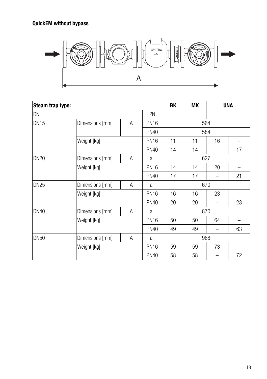#### QuickEM without bypass



| Steam trap type: |                 |           |             | BK  | <b>MK</b> |     | <b>UNA</b> |
|------------------|-----------------|-----------|-------------|-----|-----------|-----|------------|
| DN               |                 | <b>PN</b> |             |     |           |     |            |
| <b>DN15</b>      | Dimensions [mm] | A         | <b>PN16</b> | 564 |           |     |            |
|                  | <b>PN40</b>     |           |             | 584 |           |     |            |
|                  | Weight [kg]     |           | <b>PN16</b> | 11  | 11        | 16  |            |
|                  |                 |           | <b>PN40</b> | 14  | 14        |     | 17         |
| <b>DN20</b>      | Dimensions [mm] | A         | all         | 627 |           |     |            |
|                  | Weight [kg]     |           | <b>PN16</b> | 14  | 14        | 20  |            |
|                  |                 |           | <b>PN40</b> | 17  | 17        |     | 21         |
| <b>DN25</b>      | Dimensions [mm] | A         | all         | 670 |           |     |            |
|                  | Weight [kg]     |           | <b>PN16</b> | 16  | 16        | 23  |            |
|                  |                 |           | <b>PN40</b> | 20  | 20        |     | 23         |
| <b>DN40</b>      | Dimensions [mm] | A         | all         | 870 |           |     |            |
|                  | Weight [kg]     |           | <b>PN16</b> | 50  | 50        | 64  |            |
|                  |                 |           | <b>PN40</b> | 49  | 49        |     | 63         |
| DN <sub>50</sub> | Dimensions [mm] | A         | all         |     |           | 968 |            |
|                  | Weight [kg]     |           | <b>PN16</b> | 59  | 59        | 73  |            |
|                  |                 |           | <b>PN40</b> | 58  | 58        |     | 72         |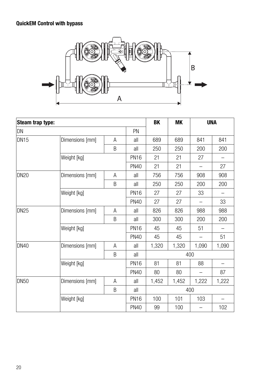#### QuickEM Control with bypass



| Steam trap type: |                      |             |             |       | <b>MK</b> | <b>UNA</b>               |       |
|------------------|----------------------|-------------|-------------|-------|-----------|--------------------------|-------|
| DN               | PN                   |             |             |       |           |                          |       |
| <b>DN15</b>      | Dimensions [mm]      | Α           | all         | 689   | 689       | 841                      | 841   |
|                  |                      | B           | all         | 250   | 250       | 200                      | 200   |
|                  | Weight [kg]          |             |             |       | 21        | 27                       |       |
|                  |                      |             |             |       | 21        | $\overline{\phantom{0}}$ | 27    |
| <b>DN20</b>      | Dimensions [mm]      | A           | all         | 756   | 756       | 908                      | 908   |
|                  | B                    |             | all         | 250   | 250       | 200                      | 200   |
|                  | Weight [kg]          | <b>PN16</b> | 27          | 27    | 33        |                          |       |
|                  |                      |             | <b>PN40</b> | 27    | 27        | $\overline{\phantom{0}}$ | 33    |
| <b>DN25</b>      | Dimensions [mm]      | A           | all         | 826   | 826       | 988                      | 988   |
|                  |                      | B           | all         | 300   | 300       | 200                      | 200   |
|                  | Weight [kg]          | <b>PN16</b> | 45          | 45    | 51        |                          |       |
|                  |                      | <b>PN40</b> | 45          | 45    |           | 51                       |       |
| <b>DN40</b>      | Dimensions [mm]<br>Α |             | all         | 1,320 | 1,320     | 1,090                    | 1,090 |
|                  |                      | all         | 400         |       |           |                          |       |
|                  | Weight [kg]          | <b>PN16</b> | 81          | 81    | 88        |                          |       |
|                  |                      |             | <b>PN40</b> | 80    | 80        |                          | 87    |
| <b>DN50</b>      | Dimensions [mm]      | A           | all         | 1,452 | 1,452     | 1,222                    | 1,222 |
|                  | B                    |             | all         | 400   |           |                          |       |
|                  | Weight [kg]          |             | <b>PN16</b> | 100   | 101       | 103                      |       |
|                  |                      | <b>PN40</b> | 99          | 100   |           | 102                      |       |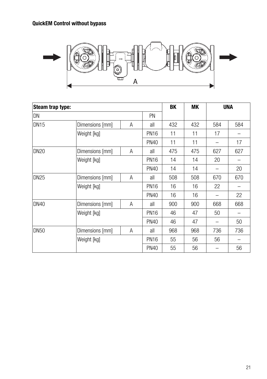#### QuickEM Control without bypass



| Steam trap type: |                      |             |             |     | МK  | <b>UNA</b> |     |
|------------------|----------------------|-------------|-------------|-----|-----|------------|-----|
| DN               | <b>PN</b>            |             |             |     |     |            |     |
| <b>DN15</b>      | Dimensions [mm]<br>A |             | all         | 432 | 432 | 584        | 584 |
|                  | Weight [kg]          |             |             |     | 11  | 17         |     |
|                  |                      |             | <b>PN40</b> | 11  | 11  |            | 17  |
| <b>DN20</b>      | Dimensions [mm]      | A           | all         | 475 | 475 | 627        | 627 |
|                  | Weight [kg]          | <b>PN16</b> | 14          | 14  | 20  |            |     |
|                  |                      |             | <b>PN40</b> | 14  | 14  |            | 20  |
| <b>DN25</b>      | Dimensions [mm]      | A           | all         | 508 | 508 | 670        | 670 |
|                  | Weight [kg]          | <b>PN16</b> | 16          | 16  | 22  |            |     |
|                  |                      |             | <b>PN40</b> | 16  | 16  |            | 22  |
| <b>DN40</b>      | Dimensions [mm]<br>Α |             | all         | 900 | 900 | 668        | 668 |
|                  | Weight [kg]          | <b>PN16</b> | 46          | 47  | 50  |            |     |
|                  |                      |             | <b>PN40</b> | 46  | 47  |            | 50  |
| <b>DN50</b>      | Dimensions [mm]      | A           | all         | 968 | 968 | 736        | 736 |
|                  | Weight [kg]          |             | <b>PN16</b> | 55  | 56  | 56         |     |
|                  |                      |             | <b>PN40</b> | 55  | 56  |            | 56  |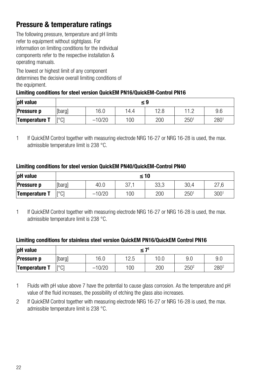### <span id="page-21-0"></span>Pressure & temperature ratings

The following pressure, temperature and pH limits refer to equipment without sightglass. For information on limiting conditions for the individual components refer to the respective installation & operating manuals.

The lowest or highest limit of any component determines the decisive overall limiting conditions of the equipment.

#### Limiting conditions for steel version QuickEM PN16/QuickEM-Control PN16

| pH value          | ≤ 9          |          |      |      |                                 |      |  |
|-------------------|--------------|----------|------|------|---------------------------------|------|--|
| <b>Pressure p</b> | [barg]       | 16.0     | '4.4 | 12.8 | n 1<br>$\overline{\phantom{a}}$ | 9.6  |  |
| Temperature T     | $\Gamma$ °Cl | $-10/20$ | 100  | 200  | $250^{\circ}$                   | 2801 |  |

1 If QuickEM Control together with measuring electrode NRG 16-27 or NRG 16-28 is used, the max. admissible temperature limit is 238 °C.

#### Limiting conditions for steel version QuickEM PN40/QuickEM-Control PN40

| pH value          | ≤ 10   |          |            |      |                  |             |  |
|-------------------|--------|----------|------------|------|------------------|-------------|--|
| <b>Pressure p</b> | [barg] | 40.0     | 27<br>، اں | 33.3 | 30.4             | 27.6        |  |
| Temperature T     | lr°Cl  | $-10/20$ | 100        | 200  | 250 <sup>1</sup> | $300^\circ$ |  |

1 If QuickEM Control together with measuring electrode NRG 16-27 or NRG 16-28 is used, the max. admissible temperature limit is 238 °C.

#### Limiting conditions for stainless steel version QuickEM PN16/QuickEM Control PN16

| pH value          | ≤7           |          |      |      |                  |                  |  |
|-------------------|--------------|----------|------|------|------------------|------------------|--|
| <b>Pressure p</b> | [barg]       | 16.0     | 12.5 | 10.0 | 9.0              | 9.0              |  |
| Temperature T     | $\Gamma$ °C1 | $-10/20$ | 100  | 200  | 250 <sup>2</sup> | 280 <sup>2</sup> |  |

1 Fluids with pH value above 7 have the potential to cause glass corrosion. As the temperature and pH value of the fluid increases, the possibility of etching the glass also increases.

2 If QuickEM Control together with measuring electrode NRG 16-27 or NRG 16-28 is used, the max. admissible temperature limit is 238 °C.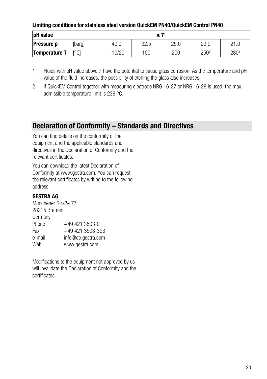#### Limiting conditions for stainless steel version QuickEM PN40/QuickEM Control PN40

| pH value          | $\leq 7$     |          |      |      |                  |      |  |
|-------------------|--------------|----------|------|------|------------------|------|--|
| <b>Pressure p</b> | [barg]       | 40.0     | 32.5 | 25.0 | 23.0             | 21.C |  |
| Temperature T     | $\Gamma$ °C1 | $-10/20$ | 100  | 200  | 250 <sup>2</sup> | 2802 |  |

- 1 Fluids with pH value above 7 have the potential to cause glass corrosion. As the temperature and pH value of the fluid increases, the possibility of etching the glass also increases.
- 2 If QuickEM Control together with measuring electrode NRG 16-27 or NRG 16-28 is used, the max. admissible temperature limit is 238 °C.

#### <span id="page-22-0"></span>Declaration of Conformity – Standards and Directives

You can find details on the conformity of the equipment and the applicable standards and directives in the Declaration of Conformity and the relevant certificates.

You can download the latest Declaration of Conformity at www.gestra.com. You can request the relevant certificates by writing to the following address:

#### GESTRA AG

Münchener Straße 77 28215 Bremen Germany Phone  $+49\,421\,3503-0$ Fax +49 421 3503-393 e-mail info@de.gestra.com Web www.gestra.com

Modifications to the equipment not approved by us will invalidate the Declaration of Conformity and the certificates.